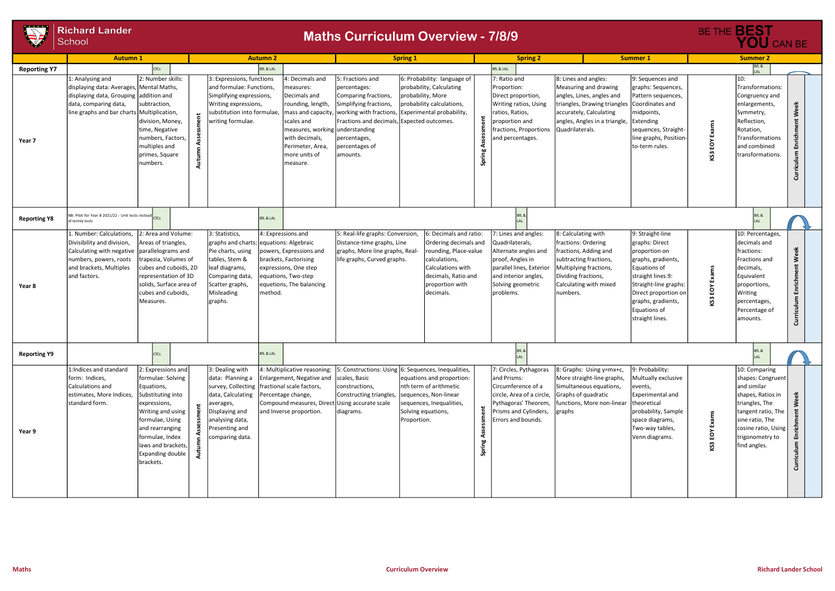

|                     | <b>Richard Lander</b>                                                                                                                                                                                                          |                                                                                                                                                                                            |                                                                                                                                                                                            |                                                                                                                                                                                                           |                                                                                                                                                                                |                                                                                                                                                                                                      |         |                                                                                                                                                                           |                                                                                                                                                                                           |                                                                                                                                                                                                                          |                     | BE THE <b>BEST</b>                                                                                                                                                                          |                                      |
|---------------------|--------------------------------------------------------------------------------------------------------------------------------------------------------------------------------------------------------------------------------|--------------------------------------------------------------------------------------------------------------------------------------------------------------------------------------------|--------------------------------------------------------------------------------------------------------------------------------------------------------------------------------------------|-----------------------------------------------------------------------------------------------------------------------------------------------------------------------------------------------------------|--------------------------------------------------------------------------------------------------------------------------------------------------------------------------------|------------------------------------------------------------------------------------------------------------------------------------------------------------------------------------------------------|---------|---------------------------------------------------------------------------------------------------------------------------------------------------------------------------|-------------------------------------------------------------------------------------------------------------------------------------------------------------------------------------------|--------------------------------------------------------------------------------------------------------------------------------------------------------------------------------------------------------------------------|---------------------|---------------------------------------------------------------------------------------------------------------------------------------------------------------------------------------------|--------------------------------------|
|                     | School                                                                                                                                                                                                                         |                                                                                                                                                                                            |                                                                                                                                                                                            | <b>Maths Curriculum Overview - 7/8/9</b>                                                                                                                                                                  | YOU CAN BE                                                                                                                                                                     |                                                                                                                                                                                                      |         |                                                                                                                                                                           |                                                                                                                                                                                           |                                                                                                                                                                                                                          |                     |                                                                                                                                                                                             |                                      |
| <b>Reporting Y7</b> | <b>Autumn 1</b>                                                                                                                                                                                                                | CfCs                                                                                                                                                                                       |                                                                                                                                                                                            | <b>Autumn 2</b><br><b>BfL &amp; LAL</b>                                                                                                                                                                   |                                                                                                                                                                                | <b>Spring 1</b>                                                                                                                                                                                      |         | <b>Spring 2</b><br><b>BfL &amp; LAL</b>                                                                                                                                   |                                                                                                                                                                                           | <b>Summer 1</b>                                                                                                                                                                                                          |                     | <b>Summer 2</b>                                                                                                                                                                             |                                      |
| Year 7              | 1: Analysing and<br>displaying data: Averages, Mental Maths,<br>displaying data, Grouping<br>addition and<br>data, comparing data,<br>subtraction,<br>line graphs and bar charts Multiplication,<br>multiples and<br>Inumbers. | 2: Number skills:<br>division, Money,<br>time, Negative<br>Inumbers, Factors,<br>primes, Square                                                                                            | 3: Expressions, functions<br>and formulae: Functions,<br>Simplifying expressions,<br>Writing expressions,<br>substitution into formulae,<br>writing formulae.                              | 4: Decimals and<br>measures:<br>Decimals and<br>rounding, length,<br>scales and<br>measures, working understanding<br>with decimals,<br>Perimeter, Area,<br>more units of<br>measure.                     | 5: Fractions and<br>percentages:<br>Comparing fractions,<br>Simplifying fractions,<br>Fractions and decimals, Expected outcomes.<br>percentages,<br>percentages of<br>amounts. | 6: Probability: language of<br>probability, Calculating<br>probability, More<br>probability calculations,<br>mass and capacity, working with fractions, Experimental probability,                    | နှ      | 7: Ratio and<br>Proportion:<br>Direct proportion,<br>Writing ratios, Using<br>ratios, Ratios,<br>proportion and<br>fractions, Proportions<br>and percentages.             | 8: Lines and angles:<br>Measuring and drawing<br>angles, Lines, angles and<br>triangles, Drawing triangles<br>accurately, Calculating<br>angles, Angles in a triangle,<br>Quadrilaterals. | 9: Sequences and<br>graphs: Sequences,<br>Pattern sequences,<br>Coordinates and<br>midpoints,<br>Extending<br>sequences, Straight-<br>line graphs, Position-<br>to-term rules.                                           | Exams<br>EOY<br>KS3 | 10:<br>Transformations:<br>Congruency and<br>enlargements,<br>Symmetry,<br>Reflection,<br>Rotation,<br><b>Transformations</b><br>and combined<br>transformations.                           | Week<br>Enrichment<br>culum<br>Curri |
| <b>Reporting Y8</b> | NB: Pilot for Year 8 2021/22 - Unit tests instead<br>of termly tests                                                                                                                                                           |                                                                                                                                                                                            |                                                                                                                                                                                            | <b>BfL &amp; LAL</b>                                                                                                                                                                                      |                                                                                                                                                                                |                                                                                                                                                                                                      |         | BfL &                                                                                                                                                                     |                                                                                                                                                                                           |                                                                                                                                                                                                                          |                     | BfL &                                                                                                                                                                                       |                                      |
| Year 8              | . Number: Calculations,<br>Divisibility and division,<br>Calculating with negative<br>numbers, powers, roots<br>and brackets, Multiples<br>and factors.<br>Measures.                                                           | 2: Area and Volume:<br>Areas of triangles,<br>parallelograms and<br>trapezia, Volumes of<br>cubes and cuboids, 2D<br>representation of 3D<br>solids, Surface area of<br>cubes and cuboids, | 3: Statistics,<br>Pie charts, using<br>tables, Stem &<br>leaf diagrams,<br>Comparing data,<br>Scatter graphs,<br>Misleading<br>graphs.                                                     | 4: Expressions and<br>graphs and charts: equations: Algebraic<br>powers, Expressions and<br>brackets, Factorising<br>expressions, One step<br>equations, Two-step<br>equetions, The balancing<br>Imethod. | 5: Real-life graphs: Conversion,<br>Distance-time graphs, Line<br>graphs, More line graphs, Real-<br>life graphs, Curved graphs.                                               | 6: Decimals and ratio:<br>Ordering decimals and<br>rounding, Place-value<br>calculations,<br>Calculations with<br>decimals, Ratio and<br>proportion with<br>decimals.                                |         | 7: Lines and angles:<br>Quadrilaterals,<br>Alternate angles and<br>proof, Angles in<br>parallel lines, Exterior<br>and interior angles,<br>Solving geometric<br>problems. | 8: Calculating with<br>fractions: Ordering<br>fractions, Adding and<br>subtracting fractions,<br>Multiplying fractions,<br>Dividing fractions,<br>Calculating with mixed<br>Inumbers.     | 9: Straight-line<br>graphs: Direct<br>proportion on<br>graphs, gradients,<br>Equations of<br>straight lines.9:<br>Straight-line graphs:<br>Direct proportion on<br>graphs, gradients,<br>Equations of<br>straight lines. | Exams<br>EOY<br>KS3 | 10: Percentages,<br>decimals and<br>fractions:<br>Fractions and<br>decimals,<br>Equivalent<br>proportions,<br>Writing<br>percentages,<br>Percentage of<br>amounts.                          | Week<br>Enrichment<br>Curriculum     |
| <b>Reporting Y9</b> |                                                                                                                                                                                                                                | CfCs                                                                                                                                                                                       |                                                                                                                                                                                            | <b>BfL &amp; LAL</b>                                                                                                                                                                                      |                                                                                                                                                                                |                                                                                                                                                                                                      |         | BfL &                                                                                                                                                                     |                                                                                                                                                                                           |                                                                                                                                                                                                                          |                     | BfL &                                                                                                                                                                                       |                                      |
| Year 9              | 1:Indices and standard<br>form: Indices,<br>Calculations and<br>Equations,<br>estimates, More Indices,<br>standard form.<br>expressions,<br>brackets.                                                                          | 2: Expressions and<br>formulae: Solving<br>Substituting into<br>Writing and using<br>formulae, Using<br>and rearranging<br>formulae, Index<br>laws and brackets,<br>Expanding double       | 3: Dealing with<br>data: Planning a<br>survey, Collecting<br>data, Calculating<br>averages,<br>$\ddot{\epsilon}$<br>Displaying and<br>analysing data,<br>Presenting and<br>comparing data. | 4: Multiplicative reasoning:<br>Enlargement, Negative and<br>fractional scale factors,<br>Percentage change,<br>Compound measures, Direct Using accurate scale<br>and Inverse proportion.                 | scales, Basic<br>constructions,<br>Constructing triangles,<br>diagrams.                                                                                                        | 5: Constructions: Using 6: Sequences, Inequalities,<br>equations and proportion:<br>nth term of arithmetic<br>sequences, Non-linear<br>sequences, Inequalities,<br>Solving equations,<br>Proportion. | t.<br>ຸ | 7: Circles, Pythagoras<br>and Prisms:<br>Circumference of a<br>circle, Area of a circle,<br>Pythagoras' Theorem,<br>Prisms and Cylinders,<br>Errors and bounds.           | 8: Graphs: Using y=mx+c,<br>More straight-line graphs,<br>Simultaneous equations,<br>Graphs of quadratic<br>functions, More non-linear<br>graphs                                          | 9: Probability:<br>Multually exclusive<br>events,<br>Experimental and<br>theoretical<br>probability, Sample<br>space diagrams,<br>Two-way tables,<br>Venn diagrams.                                                      | Exams<br>KS3 EOY    | 10: Comparing<br>shapes: Congruent<br>and similar<br>shapes, Ratios in<br>triangles, The<br>tangent ratio, The<br>sine ratio, The<br>cosine ratio, Using<br>trigonometry to<br>find angles. | Week<br>Enrichment<br>Curriculum     |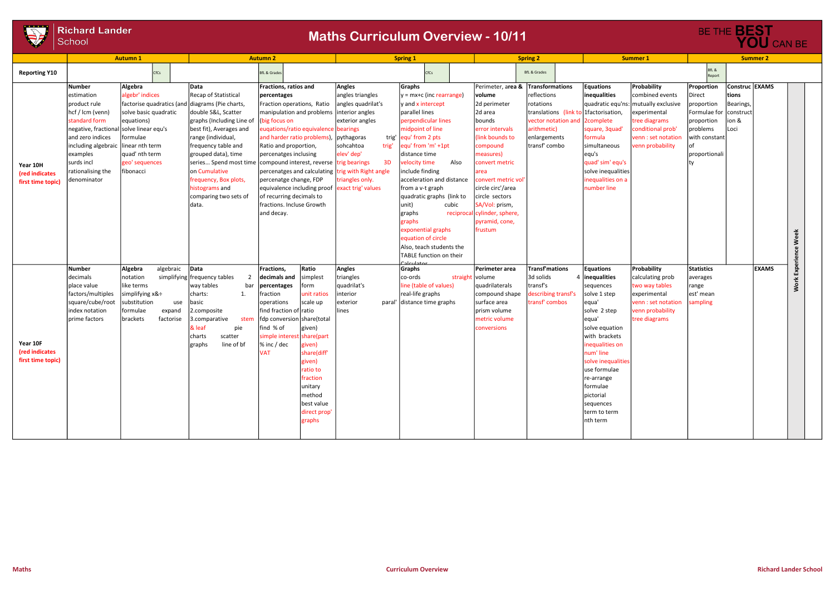

| S.                                              | <b>Richard Lander</b><br>School<br><b>Autumn1</b>                                                                                                                                                                                                                                                                                                      |                                                            |                                                                                                                                                                                                                                                                                                               | <b>Autumn 2</b>                                                                                                                                                                                                                                                                                                                                                                                                                                                                                                                                                                                           | <b>Maths Curriculum Overview - 10/11</b>                                                                                                                | <b>Spring 1</b>                                                                                                                                                                                                                                                                                                                                                                                                                                                  |                 |                                                                                                                                                                                                                                                                                                                        | <b>Spring 2</b>                                                                                                          |                                                                                                                                                                                                                                                                                              | <b>Summer 1</b>                                                                                                                                                         |                                                                                                                          | BE THE BEST                                           | YOU CAN BE<br><b>Summer 2</b> |                    |
|-------------------------------------------------|--------------------------------------------------------------------------------------------------------------------------------------------------------------------------------------------------------------------------------------------------------------------------------------------------------------------------------------------------------|------------------------------------------------------------|---------------------------------------------------------------------------------------------------------------------------------------------------------------------------------------------------------------------------------------------------------------------------------------------------------------|-----------------------------------------------------------------------------------------------------------------------------------------------------------------------------------------------------------------------------------------------------------------------------------------------------------------------------------------------------------------------------------------------------------------------------------------------------------------------------------------------------------------------------------------------------------------------------------------------------------|---------------------------------------------------------------------------------------------------------------------------------------------------------|------------------------------------------------------------------------------------------------------------------------------------------------------------------------------------------------------------------------------------------------------------------------------------------------------------------------------------------------------------------------------------------------------------------------------------------------------------------|-----------------|------------------------------------------------------------------------------------------------------------------------------------------------------------------------------------------------------------------------------------------------------------------------------------------------------------------------|--------------------------------------------------------------------------------------------------------------------------|----------------------------------------------------------------------------------------------------------------------------------------------------------------------------------------------------------------------------------------------------------------------------------------------|-------------------------------------------------------------------------------------------------------------------------------------------------------------------------|--------------------------------------------------------------------------------------------------------------------------|-------------------------------------------------------|-------------------------------|--------------------|
| <b>Reporting Y10</b>                            |                                                                                                                                                                                                                                                                                                                                                        | <b>CfCs</b>                                                |                                                                                                                                                                                                                                                                                                               | <b>BfL &amp; Grades</b>                                                                                                                                                                                                                                                                                                                                                                                                                                                                                                                                                                                   |                                                                                                                                                         | CfCs                                                                                                                                                                                                                                                                                                                                                                                                                                                             |                 |                                                                                                                                                                                                                                                                                                                        | <b>BfL &amp; Grades</b>                                                                                                  |                                                                                                                                                                                                                                                                                              |                                                                                                                                                                         | BfL &<br>Report                                                                                                          |                                                       |                               |                    |
| Year 10H<br>(red indicates<br>first time topic) | Algebra<br>Number<br>algebr' indices<br>estimation<br>product rule<br>hcf / lcm (venn)<br>standard form<br>equations)<br>negative, fractional solve linear equ's<br>and zero indices<br>formulae<br>including algebraic linear nth term<br>quad' nth term<br>examples<br>geo' sequences<br>surds incl<br>rationalising the<br>fibonacci<br>denominator | factorise quadratics (and<br>solve basic quadratic         | <b>Data</b><br>Recap of Statistical<br>diagrams (Pie charts,<br>double S&L, Scatter<br>graphs (Including Line of<br>best fit), Averages and<br>range (individual,<br>frequency table and<br>grouped data), time<br>on Cumulative<br>frequency, Box plots,<br>histograms and<br>comparing two sets of<br>data. | Fractions, ratios and<br>percentages<br>Fraction operations, Ratio<br>manipulation and problems linterior angles<br>(big focus on<br>eugations/ratio equivalence bearings<br>and harder ratio problems),<br>Ratio and proportion,<br>percenatges inclusing<br>$\left  \text{series} \dots \text{Speed} \right $ most time $\left  \text{compound interest}, \text{reverse} \right $ trig bearings<br>percenatges and calculating trig with Right angle<br>percenatge change, FDP<br>equivalence including proof exact trig' values<br>of recurring decimals to<br>fractions. Incluse Growth<br>and decay. | Angles<br>angles triangles<br>angles quadrilat's<br>exterior angles<br>trig'<br>pythagoras<br>sohcahtoa<br>trig'<br>elev' dep'<br>3D<br>triangles only. | Graphs<br>$ y = mx+c$ (inc rearrange)<br>v and x intercept<br>parallel lines<br>perpendicular lines<br>midpoint of line<br>equ' from 2 pts<br>equ' from 'm' +1pt<br> distance time<br>velocity time<br>include finding<br>acceleration and distance<br>from a v-t graph<br>quadratic graphs (link to<br>unit)<br>graphs<br>graphs<br>exponential graphs<br>equation of circle<br>Also, teach students the<br>TABLE function on their<br>بم <del>ن</del> داينملده | Also<br>cubic   | Perimeter, area & Transformations<br> volume<br>2d perimeter<br>2d area<br>bounds<br>error intervals<br>(link bounds to<br>compound<br>measures)<br>convert metric<br>area<br>convert metric vol<br>circle circ'/area<br>circle sectors<br>SA/Vol: prism,<br>reciprocal cylinder, sphere,<br>pyramid, cone,<br>frustum | reflections<br>rotations<br>translations (link to<br>vector notation and<br>arithmetic)<br>enlargements<br>transf' combo | <b>Equations</b><br>inequalities<br>1factorisation,<br>2complete<br>square, 3quad'<br>formula<br>simultaneous<br>equ's<br>quad' sim' equ's<br>solve inequalities<br>inequalities on a<br>number line                                                                                         | Probability<br>combined events<br>quadratic equ'ns: mutually exclusive<br>experimental<br>tree diagrams<br>conditional prob'<br>venn : set notation<br>venn probability | Proportion<br>Direct<br>proportion<br>Formulae for construct<br>proportion<br>problems<br>with constant<br>proportionali | Construc EXAMS<br>tions<br>Bearings,<br>ion &<br>Loci |                               | Week<br>Experience |
| Year 10F<br>(red indicates<br>first time topic) | Algebra<br><b>Number</b><br>decimals<br>notation<br>place value<br>like terms<br>factors/multiples<br>square/cube/root<br>substitution<br>formulae<br>index notation<br>prime factors<br>brackets                                                                                                                                                      | algebraic<br>simplifying x&÷<br>use<br>expand<br>factorise | Data<br>simplifying frequency tables<br>bar<br>way tables<br>charts:<br>1.<br>basic<br>2.composite<br>3.comparative<br>stem<br>pie<br>& leaf<br>charts<br>scatter<br>line of bf<br>graphs                                                                                                                     | Ratio<br>Fractions,<br>decimals and simplest<br>percentages<br>form<br>unit ratios<br>fraction<br>scale up<br>operations<br>find fraction of ratio<br>fdp conversion share(total<br>find % of<br>given)<br>simple interest share(part<br>% inc / dec<br>given)<br><b>VAT</b><br>share(diff'<br>given)<br>ratio to<br>fraction<br>unitary<br>method<br>best value<br>direct prop'<br>graphs                                                                                                                                                                                                                | Angles<br>triangles<br>quadrilat's<br>interior<br>exterior<br>lines                                                                                     | Graphs<br>co-ords<br>line (table of values)<br>real-life graphs<br>paral' distance time graphs                                                                                                                                                                                                                                                                                                                                                                   | straight volume | Perimeter area<br>quadrilaterals<br>compound shape<br>surface area<br>prism volume<br>metric volume<br>conversions                                                                                                                                                                                                     | Transf'mations<br>3d solids<br>transf's<br>describing transf's<br>transf' combos                                         | <b>Equations</b><br>4   inequalities<br>sequences<br>solve 1 step<br>equa'<br>solve 2 step<br>equa'<br>solve equation<br>with brackets<br>inequalities on<br>num' line<br>solve inequalities<br>use formulae<br>re-arrange<br>formulae<br>pictorial<br>sequences<br>term to term<br>nth term | Probability<br>calculating prob<br>two way tables<br>experimental<br>venn : set notation<br>venn probability<br>tree diagrams                                           | <b>Statistics</b><br>averages<br>range<br>est' mean<br>sampling                                                          |                                                       | <b>EXAMS</b>                  | Work               |